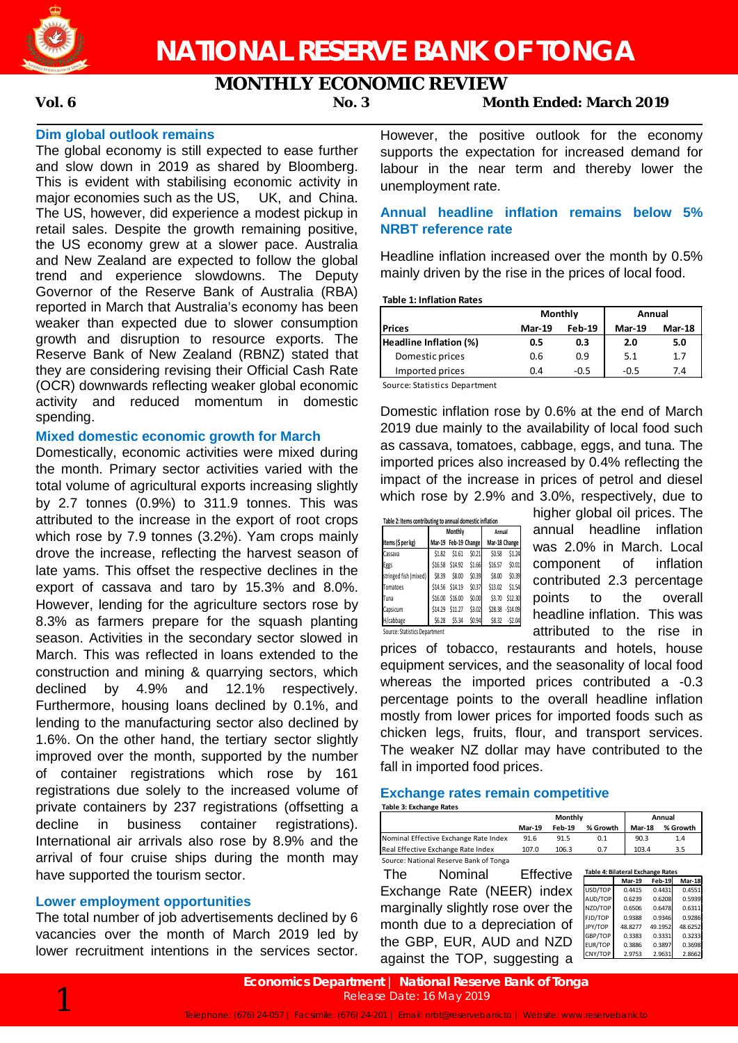

# **MONTHLY ECONOMIC REVIEW**

# **Vol. 6 No. 3 Month Ended: March 2019**

# **Dim global outlook remains**

The global economy is still expected to ease further and slow down in 2019 as shared by Bloomberg. This is evident with stabilising economic activity in major economies such as the US, UK, and China. The US, however, did experience a modest pickup in retail sales. Despite the growth remaining positive, the US economy grew at a slower pace. Australia and New Zealand are expected to follow the global trend and experience slowdowns. The Deputy Governor of the Reserve Bank of Australia (RBA) reported in March that Australia's economy has been weaker than expected due to slower consumption growth and disruption to resource exports. The Reserve Bank of New Zealand (RBNZ) stated that they are considering revising their Official Cash Rate (OCR) downwards reflecting weaker global economic activity and reduced momentum in domestic spending.

## **Mixed domestic economic growth for March**

Domestically, economic activities were mixed during the month. Primary sector activities varied with the total volume of agricultural exports increasing slightly by 2.7 tonnes (0.9%) to 311.9 tonnes. This was attributed to the increase in the export of root crops which rose by 7.9 tonnes (3.2%). Yam crops mainly drove the increase, reflecting the harvest season of late yams. This offset the respective declines in the export of cassava and taro by 15.3% and 8.0%. However, lending for the agriculture sectors rose by 8.3% as farmers prepare for the squash planting season. Activities in the secondary sector slowed in March. This was reflected in loans extended to the construction and mining & quarrying sectors, which declined by 4.9% and 12.1% respectively. Furthermore, housing loans declined by 0.1%, and lending to the manufacturing sector also declined by 1.6%. On the other hand, the tertiary sector slightly improved over the month, supported by the number of container registrations which rose by 161 registrations due solely to the increased volume of private containers by 237 registrations (offsetting a decline in business container registrations). International air arrivals also rose by 8.9% and the arrival of four cruise ships during the month may have supported the tourism sector.

# **Lower employment opportunities**

The total number of job advertisements declined by 6 vacancies over the month of March 2019 led by lower recruitment intentions in the services sector. However, the positive outlook for the economy supports the expectation for increased demand for labour in the near term and thereby lower the unemployment rate.

# **Annual headline inflation remains below 5% NRBT reference rate**

Headline inflation increased over the month by 0.5% mainly driven by the rise in the prices of local food.

**Table 1: Inflation Rates**

|                        | Monthly       |               | Annual        |               |  |
|------------------------|---------------|---------------|---------------|---------------|--|
| <b>Prices</b>          | <b>Mar-19</b> | <b>Feb-19</b> | <b>Mar-19</b> | <b>Mar-18</b> |  |
| Headline Inflation (%) | 0.5           | 0.3           | 2.0           | 5.0           |  |
| Domestic prices        | 0.6           | 0.9           | 5.1           | 1.7           |  |
| Imported prices        | 0.4           | $-0.5$        | $-0.5$        | 7.4           |  |

Source: Statistics Department

Domestic inflation rose by 0.6% at the end of March 2019 due mainly to the availability of local food such as cassava, tomatoes, cabbage, eggs, and tuna. The imported prices also increased by 0.4% reflecting the impact of the increase in prices of petrol and diesel which rose by 2.9% and 3.0%, respectively, due to

|                       |         | Monthly              |        | Annual        |                   |  |
|-----------------------|---------|----------------------|--------|---------------|-------------------|--|
| Items (\$ per kg)     |         | Mar-19 Feb-19 Change |        | Mar-18 Change |                   |  |
| Cassava               | \$1.82  | \$1.61               | \$0.21 | \$0.58        | \$1.24            |  |
| Eggs                  | \$16.58 | \$14.92              | \$1.66 | \$16.57       | \$0.01            |  |
| stringed fish (mixed) | \$8.39  | \$8.00               | \$0.39 | \$8.00        | \$0.39            |  |
| Tomatoes              |         | \$14.56 \$14.19      | \$0.37 | \$13.02       | \$1.54            |  |
| Tuna                  | \$16.00 | \$16.00              | \$0.00 | \$3.70        | \$12.30           |  |
| Capsicum              | \$14.29 | \$11.27              | \$3.02 |               | \$28.38 - \$14.09 |  |
| H/cabbage             | \$6.28  | \$5.34               | \$0.94 | \$8.32        | $-52.04$          |  |

higher global oil prices. The annual headline inflation was 2.0% in March. Local component of inflation contributed 2.3 percentage points to the overall headline inflation. This was attributed to the rise in

prices of tobacco, restaurants and hotels, house equipment services, and the seasonality of local food whereas the imported prices contributed a -0.3 percentage points to the overall headline inflation mostly from lower prices for imported foods such as chicken legs, fruits, flour, and transport services. The weaker NZ dollar may have contributed to the fall in imported food prices.

### **Exchange rates remain competitive**

|  | Table 3: Exchange Rates |  |
|--|-------------------------|--|
|  |                         |  |

|                                        |               | Monthly       | Annual   |               |          |
|----------------------------------------|---------------|---------------|----------|---------------|----------|
|                                        | <b>Mar-19</b> | <b>Feb-19</b> | % Growth | <b>Mar-18</b> | % Growth |
| Nominal Effective Exchange Rate Index  | 91.6          | 91.5          | 0.1      | 90.3          | 1.4      |
| Real Effective Exchange Rate Index     | 107.0         | 106.3         | 0.7      | 103.4         | 3.5      |
| Source: National Reserve Bank of Tonga |               |               |          |               |          |

The Nominal Effective Exchange Rate (NEER) index marginally slightly rose over the month due to a depreciation of the GBP, EUR, AUD and NZD against the TOP, suggesting a

|         | <b>Mar-19</b> | <b>Feb-19</b> | Mar-18  |
|---------|---------------|---------------|---------|
| USD/TOP | 0.4415        | 0.4431        | 0.4551  |
| AUD/TOP | 0.6239        | 0.6208        | 0.5939  |
| NZD/TOP | 0.6506        | 0.6478        | 0.6311  |
| FJD/TOP | 0.9388        | 0.9346        | 0.9286  |
| JPY/TOP | 48.8277       | 49.1952       | 48.6252 |
| GBP/TOP | 0.3383        | 0.3331        | 0.3233  |
| EUR/TOP | 0.3886        | 0.3897        | 0.3698  |
| CNY/TOP | 2.9753        | 2.9631        | 2.8662  |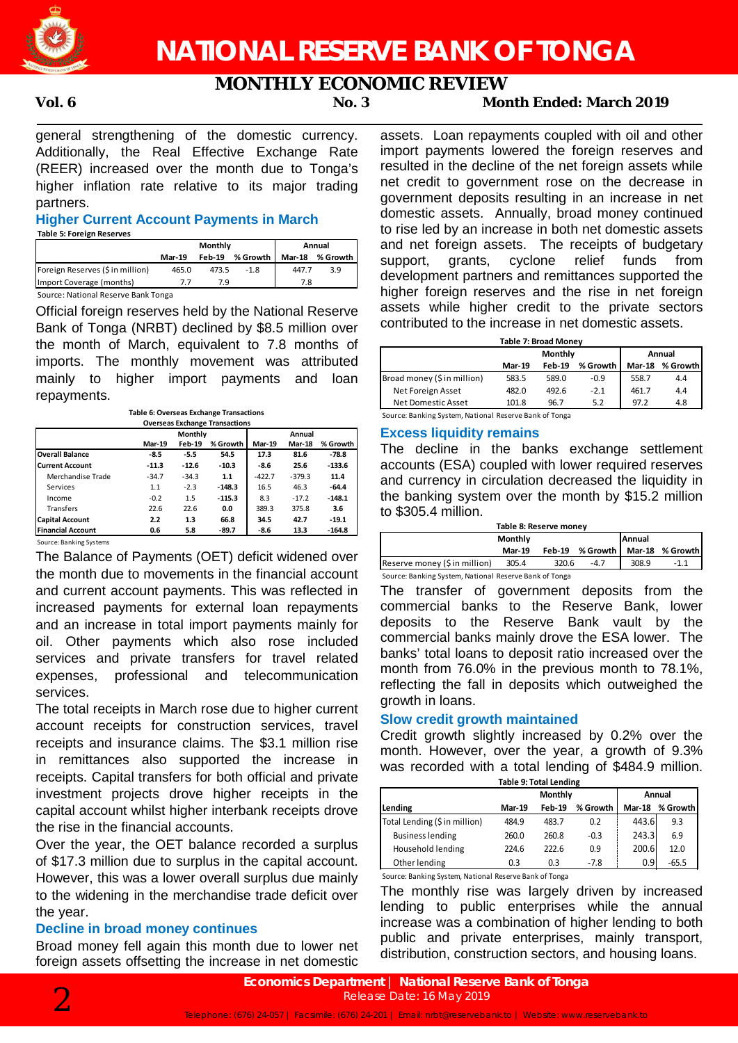

# **MONTHLY ECONOMIC REVIEW**

# **Vol. 6 No. 3 Month Ended: March 2019**

general strengthening of the domestic currency. Additionally, the Real Effective Exchange Rate (REER) increased over the month due to Tonga's higher inflation rate relative to its major trading partners.

### **Higher Current Account Payments in March Table 5: Foreign Reserves**

|               |        | Annual   |               |          |
|---------------|--------|----------|---------------|----------|
| <b>Mar-19</b> | Feb-19 | % Growth | <b>Mar-18</b> | % Growth |
| 465.0         | 473.5  | $-1.8$   | 447.7         | 3.9      |
|               | 79     |          | 7.8           |          |
|               |        |          | Monthly       |          |

Source: National Reserve Bank Tonga

Official foreign reserves held by the National Reserve Bank of Tonga (NRBT) declined by \$8.5 million over the month of March, equivalent to 7.8 months of imports. The monthly movement was attributed mainly to higher import payments and loan repayments.

**Table 6: Overseas Exchange Transactions**

| <b>Overseas Exchange Transactions</b> |               |                |          |               |               |          |  |
|---------------------------------------|---------------|----------------|----------|---------------|---------------|----------|--|
|                                       |               | <b>Monthly</b> |          | Annual        |               |          |  |
|                                       | <b>Mar-19</b> | <b>Feb-19</b>  | % Growth | <b>Mar-19</b> | <b>Mar-18</b> | % Growth |  |
| <b>Overall Balance</b>                | -8.5          | -5.5           | 54.5     | 17.3          | 81.6          | $-78.8$  |  |
| <b>Current Account</b>                | $-11.3$       | $-12.6$        | $-10.3$  | -8.6          | 25.6          | $-133.6$ |  |
| Merchandise Trade                     | $-34.7$       | $-34.3$        | 1.1      | $-422.7$      | $-379.3$      | 11.4     |  |
| Services                              | 1.1           | $-2.3$         | $-148.3$ | 16.5          | 46.3          | $-64.4$  |  |
| Income                                | $-0.2$        | 1.5            | $-115.3$ | 8.3           | $-17.2$       | $-148.1$ |  |
| Transfers                             | 22.6          | 22.6           | 0.0      | 389.3         | 375.8         | 3.6      |  |
| <b>Capital Account</b>                | 2.2           | 1.3            | 66.8     | 34.5          | 42.7          | $-19.1$  |  |
| <b>Financial Account</b>              | 0.6           | 5.8            | $-89.7$  | -8.6          | 13.3          | $-164.8$ |  |

Source: Banking Systems

The Balance of Payments (OET) deficit widened over the month due to movements in the financial account and current account payments. This was reflected in increased payments for external loan repayments and an increase in total import payments mainly for oil. Other payments which also rose included services and private transfers for travel related expenses, professional and telecommunication services.

The total receipts in March rose due to higher current account receipts for construction services, travel receipts and insurance claims. The \$3.1 million rise in remittances also supported the increase in receipts. Capital transfers for both official and private investment projects drove higher receipts in the capital account whilst higher interbank receipts drove the rise in the financial accounts.

Over the year, the OET balance recorded a surplus of \$17.3 million due to surplus in the capital account. However, this was a lower overall surplus due mainly to the widening in the merchandise trade deficit over the year.

# **Decline in broad money continues**

Broad money fell again this month due to lower net foreign assets offsetting the increase in net domestic assets. Loan repayments coupled with oil and other import payments lowered the foreign reserves and resulted in the decline of the net foreign assets while net credit to government rose on the decrease in government deposits resulting in an increase in net domestic assets. Annually, broad money continued to rise led by an increase in both net domestic assets and net foreign assets. The receipts of budgetary support, grants, cyclone relief funds from development partners and remittances supported the higher foreign reserves and the rise in net foreign assets while higher credit to the private sectors contributed to the increase in net domestic assets.

| Table 7: Broad Money        |               |          |          |               |          |  |  |
|-----------------------------|---------------|----------|----------|---------------|----------|--|--|
|                             |               | Monthly  | Annual   |               |          |  |  |
|                             | <b>Mar-19</b> | $Feh-19$ | % Growth | <b>Mar-18</b> | % Growth |  |  |
| Broad money (\$ in million) | 583.5         | 589.0    | $-0.9$   | 558.7         | 4.4      |  |  |
| Net Foreign Asset           | 482.0         | 492.6    | $-2.1$   | 461.7         | 4.4      |  |  |
| Net Domestic Asset          | 101.8         | 96.7     | 5.2      | 97.2          | 4.8      |  |  |

Source: Banking System, National Reserve Bank of Tonga

## **Excess liquidity remains**

The decline in the banks exchange settlement accounts (ESA) coupled with lower required reserves and currency in circulation decreased the liquidity in the banking system over the month by \$15.2 million to \$305.4 million.

| Table 8: Reserve money        |               |       |        |       |                                   |  |  |  |
|-------------------------------|---------------|-------|--------|-------|-----------------------------------|--|--|--|
|                               | Monthly       |       | Annual |       |                                   |  |  |  |
|                               | <b>Mar-19</b> |       |        |       | Feb-19 % Growth   Mar-18 % Growth |  |  |  |
| Reserve money (\$ in million) | 305.4         | 320.6 | $-4.7$ | 308.9 |                                   |  |  |  |

Source: Banking System, National Reserve Bank of Tonga

The transfer of government deposits from the commercial banks to the Reserve Bank, lower deposits to the Reserve Bank vault by the commercial banks mainly drove the ESA lower. The banks' total loans to deposit ratio increased over the month from 76.0% in the previous month to 78.1%, reflecting the fall in deposits which outweighed the growth in loans.

## **Slow credit growth maintained**

Credit growth slightly increased by 0.2% over the month. However, over the year, a growth of 9.3% was recorded with a total lending of \$484.9 million. **Table 9: Total Lending**

| $1001C$ $311C$ $101C$ $11C$   |               |               |          |               |          |  |  |
|-------------------------------|---------------|---------------|----------|---------------|----------|--|--|
|                               |               | Monthly       | Annual   |               |          |  |  |
| Lending                       | <b>Mar-19</b> | <b>Feb</b> 19 | % Growth | <b>Mar-18</b> | % Growth |  |  |
| Total Lending (\$ in million) | 484.9         | 483.7         | 0.2      | 443.6         | 9.3      |  |  |
| <b>Business lending</b>       | 260.0         | 260.8         | $-0.3$   | 243.3         | 6.9      |  |  |
| Household lending             | 224.6         | 222.6         | 0.9      | 200.6         | 12.0     |  |  |
| Other lending                 | 0.3           | 0.3           | $-7.8$   | 0.9           | $-65.5$  |  |  |

Source: Banking System, National Reserve Bank of Tonga

The monthly rise was largely driven by increased lending to public enterprises while the annual increase was a combination of higher lending to both public and private enterprises, mainly transport, distribution, construction sectors, and housing loans.